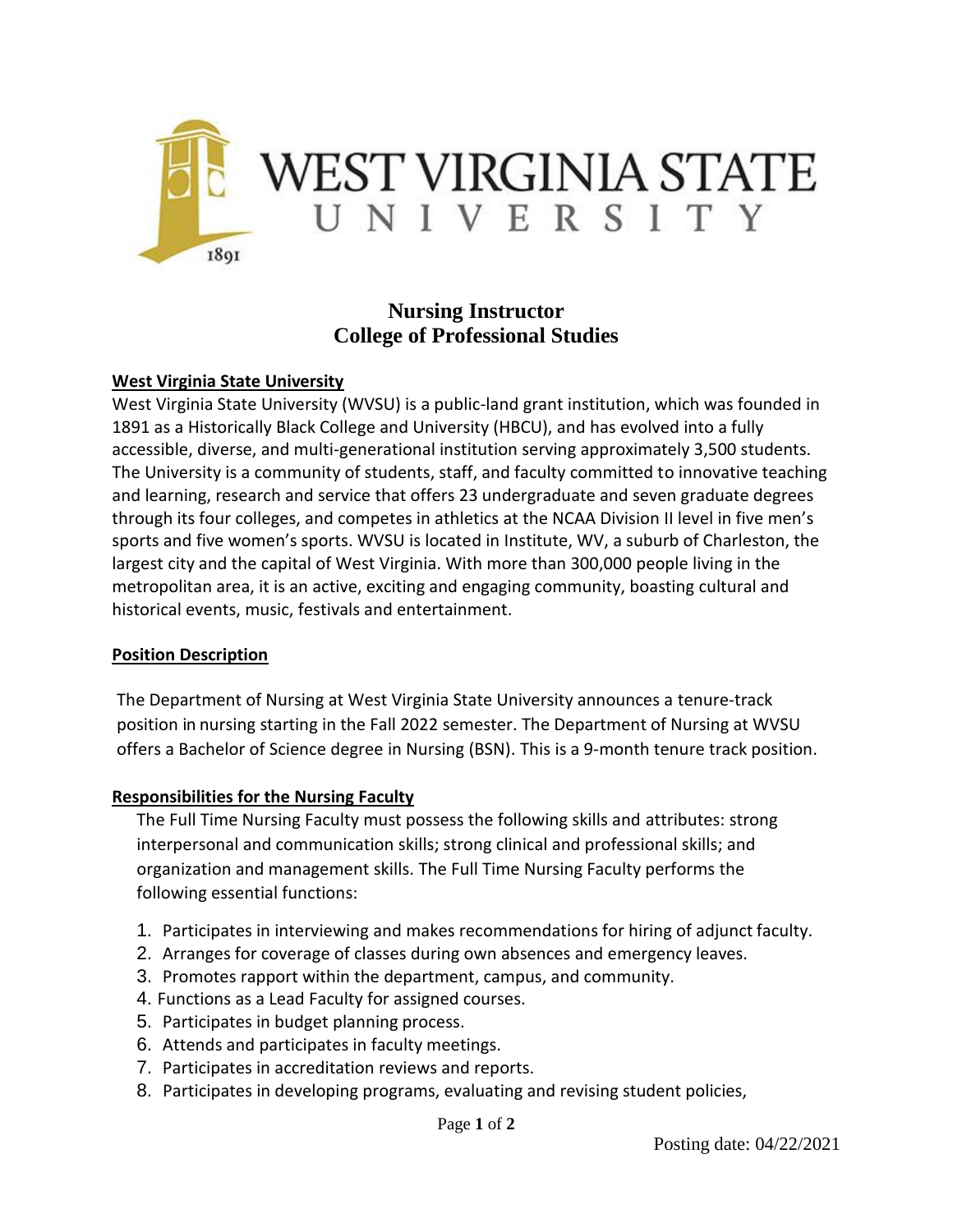

# **Nursing Instructor College of Professional Studies**

#### **West Virginia State University**

West Virginia State University (WVSU) is a public-land grant institution, which was founded in 1891 as a Historically Black College and University (HBCU), and has evolved into a fully accessible, diverse, and multi-generational institution serving approximately 3,500 students. The University is a community of students, staff, and faculty committed to innovative teaching and learning, research and service that offers 23 undergraduate and seven graduate degrees through its four colleges, and competes in athletics at the NCAA Division II level in five men's sports and five women's sports. WVSU is located in Institute, WV, a suburb of Charleston, the largest city and the capital of West Virginia. With more than 300,000 people living in the metropolitan area, it is an active, exciting and engaging community, boasting cultural and historical events, music, festivals and entertainment.

#### **Position Description**

The Department of Nursing at West Virginia State University announces a tenure-track position in nursing starting in the Fall 2022 semester. The Department of Nursing at WVSU offers a Bachelor of Science degree in Nursing (BSN). This is a 9-month tenure track position.

### **Responsibilities for the Nursing Faculty**

The Full Time Nursing Faculty must possess the following skills and attributes: strong interpersonal and communication skills; strong clinical and professional skills; and organization and management skills. The Full Time Nursing Faculty performs the following essential functions:

- 1. Participates in interviewing and makes recommendations for hiring of adjunct faculty.
- 2. Arranges for coverage of classes during own absences and emergency leaves.
- 3. Promotes rapport within the department, campus, and community.
- 4. Functions as a Lead Faculty for assigned courses.
- 5. Participates in budget planning process.
- 6. Attends and participates in faculty meetings.
- 7. Participates in accreditation reviews and reports.
- 8. Participates in developing programs, evaluating and revising student policies,